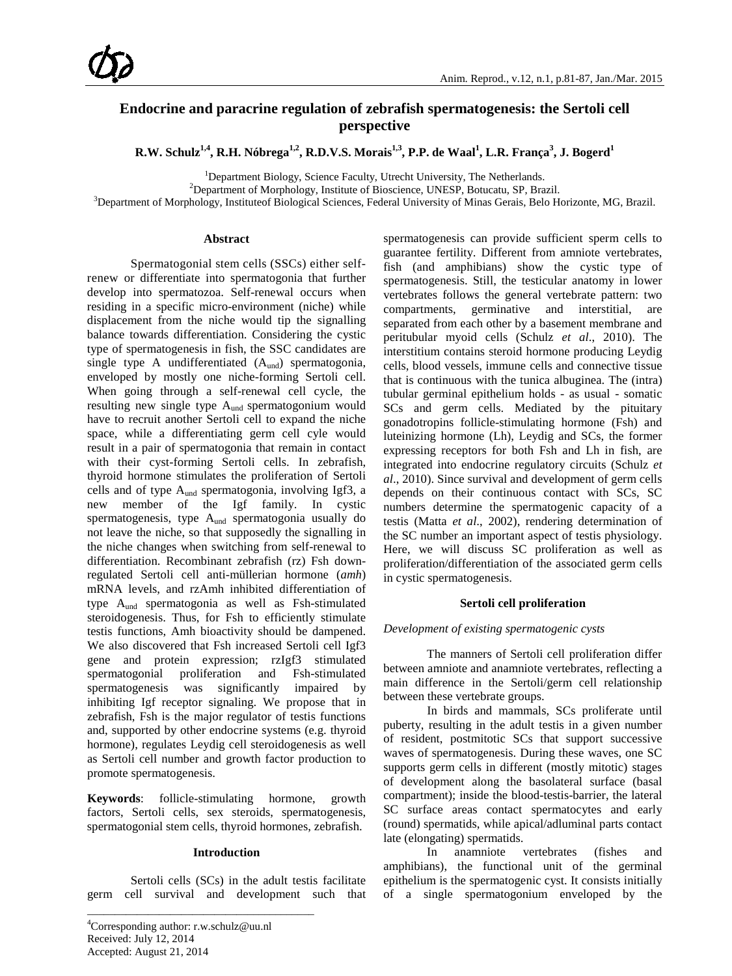# **Endocrine and paracrine regulation of zebrafish spermatogenesis: the Sertoli cell perspective**

 $R.W.$  Schulz $^{1,4}$ , R.H. Nóbrega $^{1,2}$ , R.D.V.S. Morais $^{1,3}$ , P.P. de Waal $^1$ , L.R. França $^3$ , J. Bogerd $^1$ 

<sup>1</sup>Department Biology, Science Faculty, Utrecht University, The Netherlands.<br><sup>2</sup>Department of Morphology, Institute of Bioscience, UNESP, Botucatu, SP, Bre

<sup>2</sup>Department of Morphology, Institute of Bioscience, UNESP, Botucatu, SP, Brazil.

<sup>3</sup>Department of Morphology, Instituteof Biological Sciences, Federal University of Minas Gerais, Belo Horizonte, MG, Brazil.

#### **Abstract**

Spermatogonial stem cells (SSCs) either selfrenew or differentiate into spermatogonia that further develop into spermatozoa. Self-renewal occurs when residing in a specific micro-environment (niche) while displacement from the niche would tip the signalling balance towards differentiation. Considering the cystic type of spermatogenesis in fish, the SSC candidates are single type A undifferentiated  $(A<sub>und</sub>)$  spermatogonia, enveloped by mostly one niche-forming Sertoli cell. When going through a self-renewal cell cycle, the resulting new single type A<sub>und</sub> spermatogonium would have to recruit another Sertoli cell to expand the niche space, while a differentiating germ cell cyle would result in a pair of spermatogonia that remain in contact with their cyst-forming Sertoli cells. In zebrafish, thyroid hormone stimulates the proliferation of Sertoli cells and of type  $A_{und}$  spermatogonia, involving Igf3, a new member of the Igf family. In cystic spermatogenesis, type Aund spermatogonia usually do not leave the niche, so that supposedly the signalling in the niche changes when switching from self-renewal to differentiation. Recombinant zebrafish (rz) Fsh downregulated Sertoli cell anti-müllerian hormone (*amh*) mRNA levels, and rzAmh inhibited differentiation of type Aund spermatogonia as well as Fsh-stimulated steroidogenesis. Thus, for Fsh to efficiently stimulate testis functions, Amh bioactivity should be dampened. We also discovered that Fsh increased Sertoli cell Igf3 gene and protein expression; rzIgf3 stimulated spermatogonial proliferation and Fsh-stimulated spermatogenesis was significantly impaired by inhibiting Igf receptor signaling. We propose that in zebrafish, Fsh is the major regulator of testis functions and, supported by other endocrine systems (e.g. thyroid hormone), regulates Leydig cell steroidogenesis as well as Sertoli cell number and growth factor production to promote spermatogenesis.

**Keywords**: follicle-stimulating hormone, growth factors, Sertoli cells, sex steroids, spermatogenesis, spermatogonial stem cells, thyroid hormones, zebrafish.

## **Introduction**

Sertoli cells (SCs) in the adult testis facilitate germ cell survival and development such that

\_\_\_\_\_\_\_\_\_\_\_\_\_\_\_\_\_\_\_\_\_\_\_\_\_\_\_\_\_\_\_\_\_\_\_\_\_\_\_\_\_

spermatogenesis can provide sufficient sperm cells to guarantee fertility. Different from amniote vertebrates, fish (and amphibians) show the cystic type of spermatogenesis. Still, the testicular anatomy in lower vertebrates follows the general vertebrate pattern: two compartments, germinative and interstitial, are separated from each other by a basement membrane and peritubular myoid cells (Schulz *et al*., 2010). The interstitium contains steroid hormone producing Leydig cells, blood vessels, immune cells and connective tissue that is continuous with the tunica albuginea. The (intra) tubular germinal epithelium holds - as usual - somatic SCs and germ cells. Mediated by the pituitary gonadotropins follicle-stimulating hormone (Fsh) and luteinizing hormone (Lh), Leydig and SCs, the former expressing receptors for both Fsh and Lh in fish, are integrated into endocrine regulatory circuits (Schulz *et al*., 2010). Since survival and development of germ cells depends on their continuous contact with SCs, SC numbers determine the spermatogenic capacity of a testis (Matta *et al*., 2002), rendering determination of the SC number an important aspect of testis physiology. Here, we will discuss SC proliferation as well as proliferation/differentiation of the associated germ cells in cystic spermatogenesis.

### **Sertoli cell proliferation**

### *Development of existing spermatogenic cysts*

The manners of Sertoli cell proliferation differ between amniote and anamniote vertebrates, reflecting a main difference in the Sertoli/germ cell relationship between these vertebrate groups.

In birds and mammals, SCs proliferate until puberty, resulting in the adult testis in a given number of resident, postmitotic SCs that support successive waves of spermatogenesis. During these waves, one SC supports germ cells in different (mostly mitotic) stages of development along the basolateral surface (basal compartment); inside the blood-testis-barrier, the lateral SC surface areas contact spermatocytes and early (round) spermatids, while apical/adluminal parts contact late (elongating) spermatids.

In anamniote vertebrates (fishes and amphibians), the functional unit of the germinal epithelium is the spermatogenic cyst. It consists initially of a single spermatogonium enveloped by the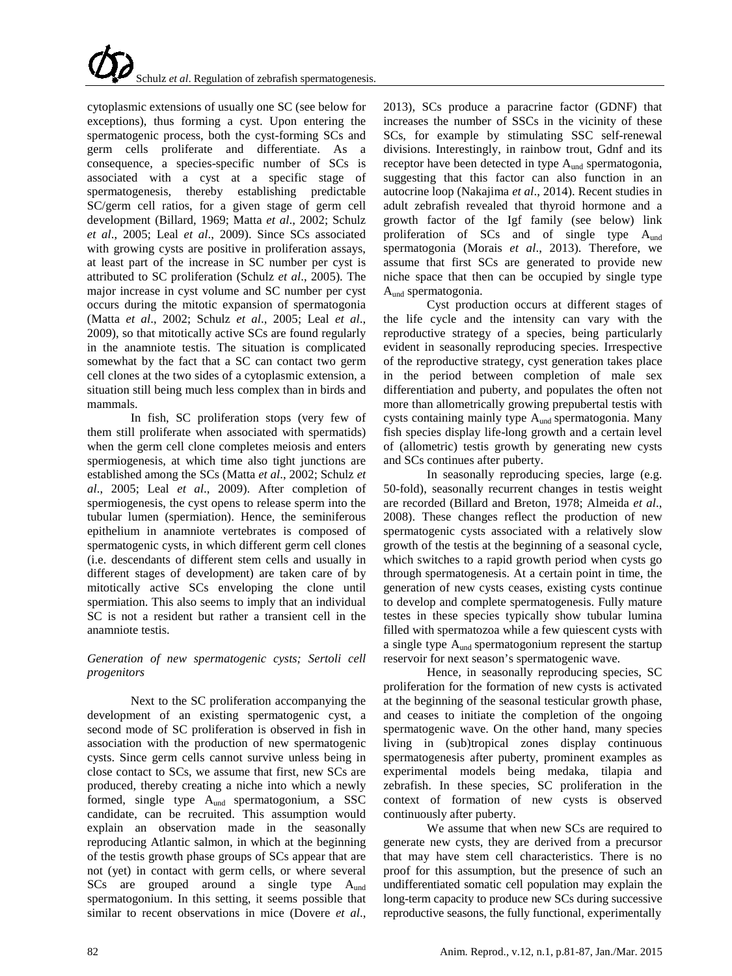cytoplasmic extensions of usually one SC (see below for exceptions), thus forming a cyst. Upon entering the spermatogenic process, both the cyst-forming SCs and germ cells proliferate and differentiate. As a consequence, a species-specific number of SCs is associated with a cyst at a specific stage of spermatogenesis, thereby establishing predictable SC/germ cell ratios, for a given stage of germ cell development (Billard, 1969; Matta *et al*., 2002; Schulz *et al*., 2005; Leal *et al*., 2009). Since SCs associated with growing cysts are positive in proliferation assays, at least part of the increase in SC number per cyst is attributed to SC proliferation (Schulz *et al*., 2005). The major increase in cyst volume and SC number per cyst occurs during the mitotic expansion of spermatogonia (Matta *et al*., 2002; Schulz *et al*., 2005; Leal *et al*., 2009), so that mitotically active SCs are found regularly in the anamniote testis. The situation is complicated somewhat by the fact that a SC can contact two germ cell clones at the two sides of a cytoplasmic extension, a situation still being much less complex than in birds and mammals.

In fish, SC proliferation stops (very few of them still proliferate when associated with spermatids) when the germ cell clone completes meiosis and enters spermiogenesis, at which time also tight junctions are established among the SCs (Matta *et al*., 2002; Schulz *et al*., 2005; Leal *et al*., 2009). After completion of spermiogenesis, the cyst opens to release sperm into the tubular lumen (spermiation). Hence, the seminiferous epithelium in anamniote vertebrates is composed of spermatogenic cysts, in which different germ cell clones (i.e. descendants of different stem cells and usually in different stages of development) are taken care of by mitotically active SCs enveloping the clone until spermiation. This also seems to imply that an individual SC is not a resident but rather a transient cell in the anamniote testis.

# *Generation of new spermatogenic cysts; Sertoli cell progenitors*

Next to the SC proliferation accompanying the development of an existing spermatogenic cyst, a second mode of SC proliferation is observed in fish in association with the production of new spermatogenic cysts. Since germ cells cannot survive unless being in close contact to SCs, we assume that first, new SCs are produced, thereby creating a niche into which a newly formed, single type  $A_{\text{und}}$  spermatogonium, a SSC candidate, can be recruited. This assumption would explain an observation made in the seasonally reproducing Atlantic salmon, in which at the beginning of the testis growth phase groups of SCs appear that are not (yet) in contact with germ cells, or where several  $SCs$  are grouped around a single type  $A<sub>und</sub>$ spermatogonium. In this setting, it seems possible that similar to recent observations in mice (Dovere *et al*.,

2013), SCs produce a paracrine factor (GDNF) that increases the number of SSCs in the vicinity of these SCs, for example by stimulating SSC self-renewal divisions. Interestingly, in rainbow trout, Gdnf and its receptor have been detected in type A<sub>und</sub> spermatogonia, suggesting that this factor can also function in an autocrine loop (Nakajima *et al*., 2014). Recent studies in adult zebrafish revealed that thyroid hormone and a growth factor of the Igf family (see below) link proliferation of SCs and of single type Aund spermatogonia (Morais *et al*., 2013). Therefore, we assume that first SCs are generated to provide new niche space that then can be occupied by single type Aund spermatogonia.

Cyst production occurs at different stages of the life cycle and the intensity can vary with the reproductive strategy of a species, being particularly evident in seasonally reproducing species. Irrespective of the reproductive strategy, cyst generation takes place in the period between completion of male sex differentiation and puberty, and populates the often not more than allometrically growing prepubertal testis with cysts containing mainly type  $A<sub>und</sub>$  spermatogonia. Many fish species display life-long growth and a certain level of (allometric) testis growth by generating new cysts and SCs continues after puberty.

In seasonally reproducing species, large (e.g. 50-fold), seasonally recurrent changes in testis weight are recorded (Billard and Breton, 1978; Almeida *et al*., 2008). These changes reflect the production of new spermatogenic cysts associated with a relatively slow growth of the testis at the beginning of a seasonal cycle, which switches to a rapid growth period when cysts go through spermatogenesis. At a certain point in time, the generation of new cysts ceases, existing cysts continue to develop and complete spermatogenesis. Fully mature testes in these species typically show tubular lumina filled with spermatozoa while a few quiescent cysts with a single type Aund spermatogonium represent the startup reservoir for next season's spermatogenic wave.

Hence, in seasonally reproducing species, SC proliferation for the formation of new cysts is activated at the beginning of the seasonal testicular growth phase, and ceases to initiate the completion of the ongoing spermatogenic wave. On the other hand, many species living in (sub)tropical zones display continuous spermatogenesis after puberty, prominent examples as experimental models being medaka, tilapia and zebrafish. In these species, SC proliferation in the context of formation of new cysts is observed continuously after puberty.

We assume that when new SCs are required to generate new cysts, they are derived from a precursor that may have stem cell characteristics. There is no proof for this assumption, but the presence of such an undifferentiated somatic cell population may explain the long-term capacity to produce new SCs during successive reproductive seasons, the fully functional, experimentally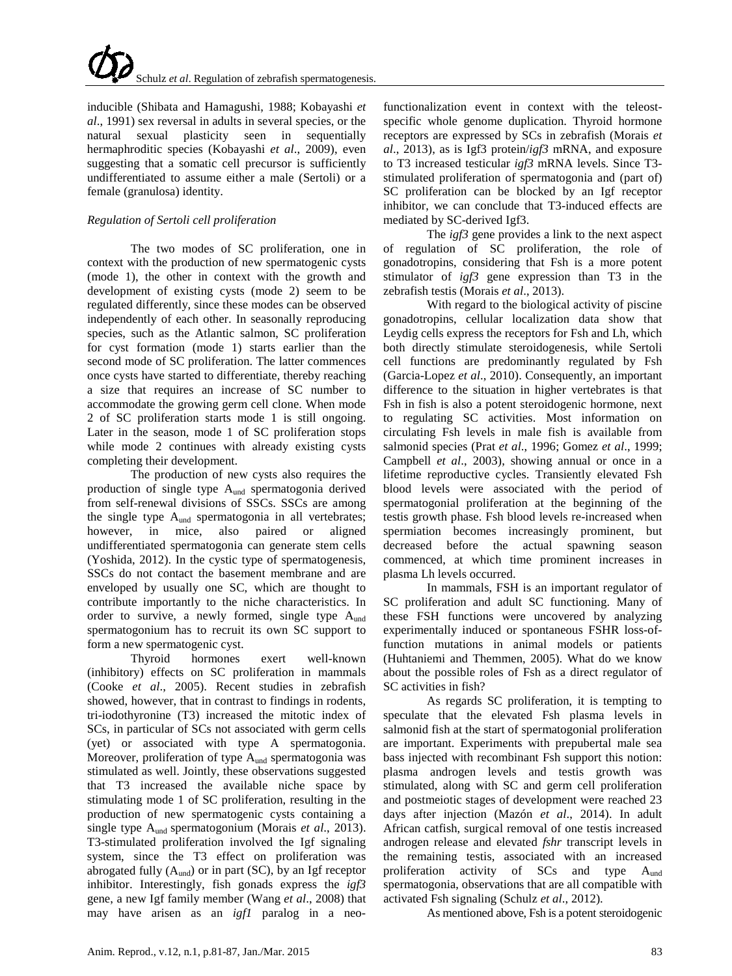inducible (Shibata and Hamagushi, 1988; Kobayashi *et al*., 1991) sex reversal in adults in several species, or the natural sexual plasticity seen in sequentially hermaphroditic species (Kobayashi *et al*., 2009), even suggesting that a somatic cell precursor is sufficiently undifferentiated to assume either a male (Sertoli) or a female (granulosa) identity.

# *Regulation of Sertoli cell proliferation*

The two modes of SC proliferation, one in context with the production of new spermatogenic cysts (mode 1), the other in context with the growth and development of existing cysts (mode 2) seem to be regulated differently, since these modes can be observed independently of each other. In seasonally reproducing species, such as the Atlantic salmon, SC proliferation for cyst formation (mode 1) starts earlier than the second mode of SC proliferation. The latter commences once cysts have started to differentiate, thereby reaching a size that requires an increase of SC number to accommodate the growing germ cell clone. When mode 2 of SC proliferation starts mode 1 is still ongoing. Later in the season, mode 1 of SC proliferation stops while mode 2 continues with already existing cysts completing their development.

The production of new cysts also requires the production of single type Aund spermatogonia derived from self-renewal divisions of SSCs. SSCs are among the single type  $A<sub>und</sub>$  spermatogonia in all vertebrates; however, in mice, also paired or aligned undifferentiated spermatogonia can generate stem cells (Yoshida, 2012). In the cystic type of spermatogenesis, SSCs do not contact the basement membrane and are enveloped by usually one SC, which are thought to contribute importantly to the niche characteristics. In order to survive, a newly formed, single type  $A<sub>und</sub>$ spermatogonium has to recruit its own SC support to form a new spermatogenic cyst.

Thyroid hormones exert well-known (inhibitory) effects on SC proliferation in mammals (Cooke *et al*., 2005). Recent studies in zebrafish showed, however, that in contrast to findings in rodents, tri-iodothyronine (T3) increased the mitotic index of SCs, in particular of SCs not associated with germ cells (yet) or associated with type A spermatogonia. Moreover, proliferation of type  $A<sub>und</sub>$  spermatogonia was stimulated as well. Jointly, these observations suggested that T3 increased the available niche space by stimulating mode 1 of SC proliferation, resulting in the production of new spermatogenic cysts containing a single type Aund spermatogonium (Morais *et al*., 2013). T3-stimulated proliferation involved the Igf signaling system, since the T3 effect on proliferation was abrogated fully  $(A_{\text{und}})$  or in part (SC), by an Igf receptor inhibitor. Interestingly, fish gonads express the *igf3* gene, a new Igf family member (Wang *et al*., 2008) that may have arisen as an *igf1* paralog in a neofunctionalization event in context with the teleostspecific whole genome duplication. Thyroid hormone receptors are expressed by SCs in zebrafish (Morais *et al*., 2013), as is Igf3 protein/*igf3* mRNA, and exposure to T3 increased testicular *igf3* mRNA levels. Since T3 stimulated proliferation of spermatogonia and (part of) SC proliferation can be blocked by an Igf receptor inhibitor, we can conclude that T3-induced effects are mediated by SC-derived Igf3.

The *igf3* gene provides a link to the next aspect of regulation of SC proliferation, the role of gonadotropins, considering that Fsh is a more potent stimulator of *igf3* gene expression than T3 in the zebrafish testis (Morais *et al*., 2013).

With regard to the biological activity of piscine gonadotropins, cellular localization data show that Leydig cells express the receptors for Fsh and Lh, which both directly stimulate steroidogenesis, while Sertoli cell functions are predominantly regulated by Fsh (Garcia-Lopez *et al*., 2010). Consequently, an important difference to the situation in higher vertebrates is that Fsh in fish is also a potent steroidogenic hormone, next to regulating SC activities. Most information on circulating Fsh levels in male fish is available from salmonid species (Prat *et al*., 1996; Gomez *et al*., 1999; Campbell *et al*., 2003), showing annual or once in a lifetime reproductive cycles. Transiently elevated Fsh blood levels were associated with the period of spermatogonial proliferation at the beginning of the testis growth phase. Fsh blood levels re-increased when spermiation becomes increasingly prominent, but decreased before the actual spawning season commenced, at which time prominent increases in plasma Lh levels occurred.

In mammals, FSH is an important regulator of SC proliferation and adult SC functioning. Many of these FSH functions were uncovered by analyzing experimentally induced or spontaneous FSHR loss-offunction mutations in animal models or patients (Huhtaniemi and Themmen, 2005). What do we know about the possible roles of Fsh as a direct regulator of SC activities in fish?

As regards SC proliferation, it is tempting to speculate that the elevated Fsh plasma levels in salmonid fish at the start of spermatogonial proliferation are important. Experiments with prepubertal male sea bass injected with recombinant Fsh support this notion: plasma androgen levels and testis growth was stimulated, along with SC and germ cell proliferation and postmeiotic stages of development were reached 23 days after injection (Mazón *et al*., 2014). In adult African catfish, surgical removal of one testis increased androgen release and elevated *fshr* transcript levels in the remaining testis, associated with an increased proliferation activity of SCs and type Aund spermatogonia, observations that are all compatible with activated Fsh signaling (Schulz *et al*., 2012).

As mentioned above, Fsh is a potent steroidogenic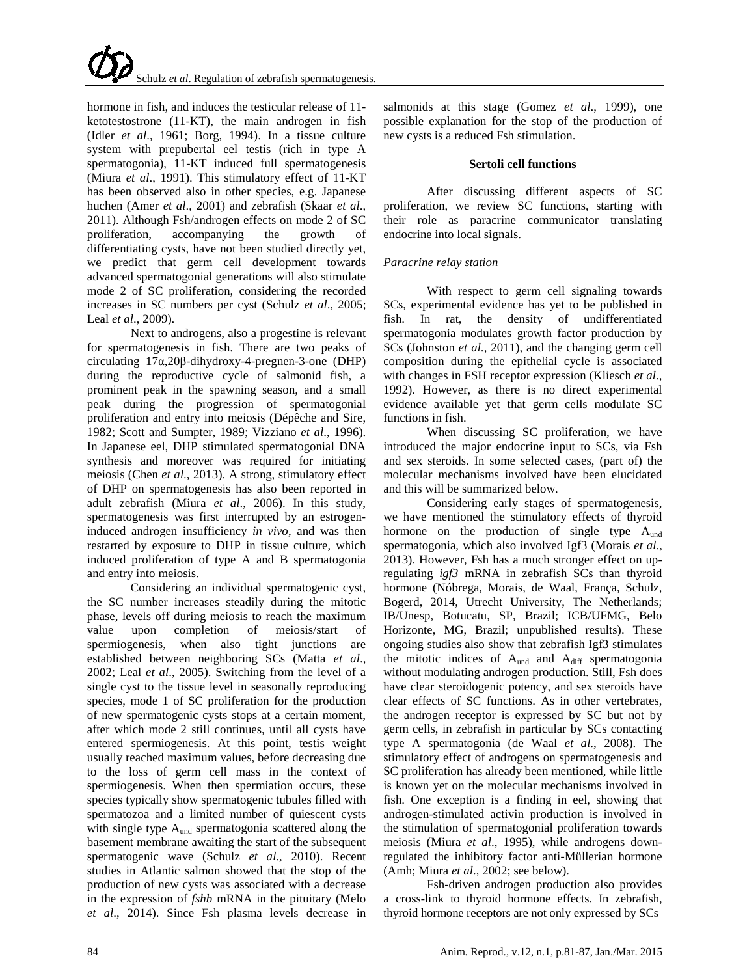hormone in fish, and induces the testicular release of 11 ketotestostrone (11-KT), the main androgen in fish (Idler *et al*., 1961; Borg, 1994). In a tissue culture system with prepubertal eel testis (rich in type A spermatogonia), 11-KT induced full spermatogenesis (Miura *et al*., 1991). This stimulatory effect of 11-KT has been observed also in other species, e.g. Japanese huchen (Amer *et al*., 2001) and zebrafish (Skaar *et al*., 2011). Although Fsh/androgen effects on mode 2 of SC proliferation, accompanying the growth of differentiating cysts, have not been studied directly yet, we predict that germ cell development towards advanced spermatogonial generations will also stimulate mode 2 of SC proliferation, considering the recorded increases in SC numbers per cyst (Schulz *et al*., 2005; Leal *et al*., 2009).

Next to androgens, also a progestine is relevant for spermatogenesis in fish. There are two peaks of circulating 17α,20β-dihydroxy-4-pregnen-3-one (DHP) during the reproductive cycle of salmonid fish, a prominent peak in the spawning season, and a small peak during the progression of spermatogonial proliferation and entry into meiosis (Dépêche and Sire, 1982; Scott and Sumpter, 1989; Vizziano *et al*., 1996). In Japanese eel, DHP stimulated spermatogonial DNA synthesis and moreover was required for initiating meiosis (Chen *et al*., 2013). A strong, stimulatory effect of DHP on spermatogenesis has also been reported in adult zebrafish (Miura *et al*., 2006). In this study, spermatogenesis was first interrupted by an estrogeninduced androgen insufficiency *in vivo*, and was then restarted by exposure to DHP in tissue culture, which induced proliferation of type A and B spermatogonia and entry into meiosis.

Considering an individual spermatogenic cyst, the SC number increases steadily during the mitotic phase, levels off during meiosis to reach the maximum value upon completion of meiosis/start of spermiogenesis, when also tight junctions are established between neighboring SCs (Matta *et al*., 2002; Leal *et al*., 2005). Switching from the level of a single cyst to the tissue level in seasonally reproducing species, mode 1 of SC proliferation for the production of new spermatogenic cysts stops at a certain moment, after which mode 2 still continues, until all cysts have entered spermiogenesis. At this point, testis weight usually reached maximum values, before decreasing due to the loss of germ cell mass in the context of spermiogenesis. When then spermiation occurs, these species typically show spermatogenic tubules filled with spermatozoa and a limited number of quiescent cysts with single type  $A<sub>und</sub>$  spermatogonia scattered along the basement membrane awaiting the start of the subsequent spermatogenic wave (Schulz *et al*., 2010). Recent studies in Atlantic salmon showed that the stop of the production of new cysts was associated with a decrease in the expression of *fshb* mRNA in the pituitary (Melo *et al*., 2014). Since Fsh plasma levels decrease in salmonids at this stage (Gomez *et al*., 1999), one possible explanation for the stop of the production of new cysts is a reduced Fsh stimulation.

## **Sertoli cell functions**

After discussing different aspects of SC proliferation, we review SC functions, starting with their role as paracrine communicator translating endocrine into local signals.

# *Paracrine relay station*

With respect to germ cell signaling towards SCs, experimental evidence has yet to be published in fish. In rat, the density of undifferentiated spermatogonia modulates growth factor production by SCs (Johnston *et al*., 2011), and the changing germ cell composition during the epithelial cycle is associated with changes in FSH receptor expression (Kliesch *et al*., 1992). However, as there is no direct experimental evidence available yet that germ cells modulate SC functions in fish.

When discussing SC proliferation, we have introduced the major endocrine input to SCs, via Fsh and sex steroids. In some selected cases, (part of) the molecular mechanisms involved have been elucidated and this will be summarized below.

Considering early stages of spermatogenesis, we have mentioned the stimulatory effects of thyroid hormone on the production of single type A<sub>und</sub> spermatogonia, which also involved Igf3 (Morais *et al*., 2013). However, Fsh has a much stronger effect on upregulating *igf3* mRNA in zebrafish SCs than thyroid hormone (Nóbrega, Morais, de Waal, França, Schulz, Bogerd, 2014, Utrecht University, The Netherlands; IB/Unesp, Botucatu, SP, Brazil; ICB/UFMG, Belo Horizonte, MG, Brazil; unpublished results). These ongoing studies also show that zebrafish Igf3 stimulates the mitotic indices of  $A<sub>und</sub>$  and  $A<sub>diff</sub>$  spermatogonia without modulating androgen production. Still, Fsh does have clear steroidogenic potency, and sex steroids have clear effects of SC functions. As in other vertebrates, the androgen receptor is expressed by SC but not by germ cells, in zebrafish in particular by SCs contacting type A spermatogonia (de Waal *et al*., 2008). The stimulatory effect of androgens on spermatogenesis and SC proliferation has already been mentioned, while little is known yet on the molecular mechanisms involved in fish. One exception is a finding in eel, showing that androgen-stimulated activin production is involved in the stimulation of spermatogonial proliferation towards meiosis (Miura *et al*., 1995), while androgens downregulated the inhibitory factor anti-Müllerian hormone (Amh; Miura *et al*., 2002; see below).

Fsh-driven androgen production also provides a cross-link to thyroid hormone effects. In zebrafish, thyroid hormone receptors are not only expressed by SCs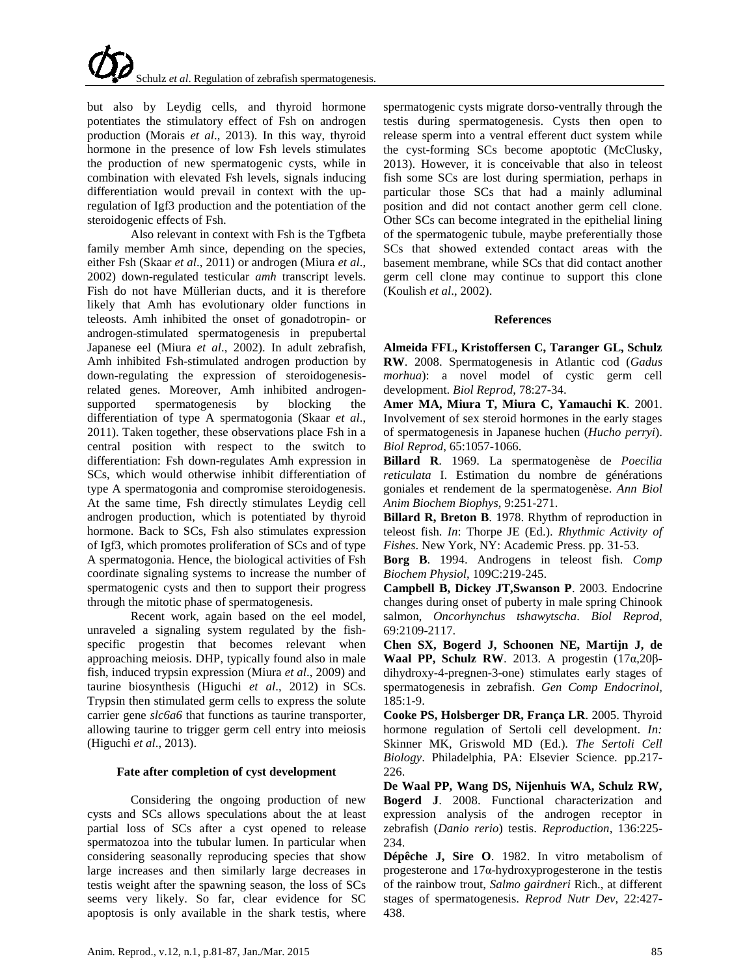but also by Leydig cells, and thyroid hormone potentiates the stimulatory effect of Fsh on androgen production (Morais *et al*., 2013). In this way, thyroid hormone in the presence of low Fsh levels stimulates the production of new spermatogenic cysts, while in combination with elevated Fsh levels, signals inducing differentiation would prevail in context with the upregulation of Igf3 production and the potentiation of the steroidogenic effects of Fsh.

Also relevant in context with Fsh is the Tgfbeta family member Amh since, depending on the species, either Fsh (Skaar *et al*., 2011) or androgen (Miura *et al*., 2002) down-regulated testicular *amh* transcript levels. Fish do not have Müllerian ducts, and it is therefore likely that Amh has evolutionary older functions in teleosts. Amh inhibited the onset of gonadotropin- or androgen-stimulated spermatogenesis in prepubertal Japanese eel (Miura *et al*., 2002). In adult zebrafish, Amh inhibited Fsh-stimulated androgen production by down-regulating the expression of steroidogenesisrelated genes. Moreover, Amh inhibited androgensupported spermatogenesis by blocking the differentiation of type A spermatogonia (Skaar *et al*., 2011). Taken together, these observations place Fsh in a central position with respect to the switch to differentiation: Fsh down-regulates Amh expression in SCs, which would otherwise inhibit differentiation of type A spermatogonia and compromise steroidogenesis. At the same time, Fsh directly stimulates Leydig cell androgen production, which is potentiated by thyroid hormone. Back to SCs, Fsh also stimulates expression of Igf3, which promotes proliferation of SCs and of type A spermatogonia. Hence, the biological activities of Fsh coordinate signaling systems to increase the number of spermatogenic cysts and then to support their progress through the mitotic phase of spermatogenesis.

Recent work, again based on the eel model, unraveled a signaling system regulated by the fishspecific progestin that becomes relevant when approaching meiosis. DHP, typically found also in male fish, induced trypsin expression (Miura *et al*., 2009) and taurine biosynthesis (Higuchi *et al*., 2012) in SCs. Trypsin then stimulated germ cells to express the solute carrier gene *slc6a6* that functions as taurine transporter, allowing taurine to trigger germ cell entry into meiosis (Higuchi *et al*., 2013).

### **Fate after completion of cyst development**

Considering the ongoing production of new cysts and SCs allows speculations about the at least partial loss of SCs after a cyst opened to release spermatozoa into the tubular lumen. In particular when considering seasonally reproducing species that show large increases and then similarly large decreases in testis weight after the spawning season, the loss of SCs seems very likely. So far, clear evidence for SC apoptosis is only available in the shark testis, where

spermatogenic cysts migrate dorso-ventrally through the testis during spermatogenesis. Cysts then open to release sperm into a ventral efferent duct system while the cyst-forming SCs become apoptotic (McClusky, 2013). However, it is conceivable that also in teleost fish some SCs are lost during spermiation, perhaps in particular those SCs that had a mainly adluminal position and did not contact another germ cell clone. Other SCs can become integrated in the epithelial lining of the spermatogenic tubule, maybe preferentially those SCs that showed extended contact areas with the basement membrane, while SCs that did contact another germ cell clone may continue to support this clone (Koulish *et al*., 2002).

## **References**

**Almeida FFL, Kristoffersen C, Taranger GL, Schulz RW**. 2008. Spermatogenesis in Atlantic cod (*Gadus morhua*): a novel model of cystic germ cell development. *Biol Reprod*, 78:27-34.

**Amer MA, Miura T, Miura C, Yamauchi K**. 2001. Involvement of sex steroid hormones in the early stages of spermatogenesis in Japanese huchen (*Hucho perryi*). *Biol Reprod*, 65:1057-1066.

**Billard R**. 1969. La spermatogenèse de *Poecilia reticulata* I. Estimation du nombre de générations goniales et rendement de la spermatogenèse. *Ann Biol Anim Biochem Biophys,* 9:251-271.

**Billard R, Breton B**. 1978. Rhythm of reproduction in teleost fish. *In*: Thorpe JE (Ed.). *Rhythmic Activity of Fishes*. New York, NY: Academic Press. pp. 31-53.

**Borg B**. 1994. Androgens in teleost fish. *Comp Biochem Physiol*, 109C:219-245.

**Campbell B, Dickey JT,Swanson P**. 2003. Endocrine changes during onset of puberty in male spring Chinook salmon, *Oncorhynchus tshawytscha*. *Biol Reprod*, 69:2109-2117.

**Chen SX, Bogerd J, Schoonen NE, Martijn J, de Waal PP, Schulz RW**. 2013. A progestin (17α,20βdihydroxy-4-pregnen-3-one) stimulates early stages of spermatogenesis in zebrafish. *Gen Comp Endocrinol,*  185:1-9.

**Cooke PS, Holsberger DR, França LR**. 2005. Thyroid hormone regulation of Sertoli cell development. *In:* Skinner MK, Griswold MD (Ed.). *The Sertoli Cell Biology*. Philadelphia, PA: Elsevier Science. pp.217- 226.

**De Waal PP, Wang DS, Nijenhuis WA, Schulz RW, Bogerd J**. 2008. Functional characterization and expression analysis of the androgen receptor in zebrafish (*Danio rerio*) testis. *Reproduction,* 136:225- 234.

**Dépêche J, Sire O**. 1982. In vitro metabolism of progesterone and 17α-hydroxyprogesterone in the testis of the rainbow trout, *Salmo gairdneri* Rich., at different stages of spermatogenesis. *Reprod Nutr Dev*, 22:427- 438.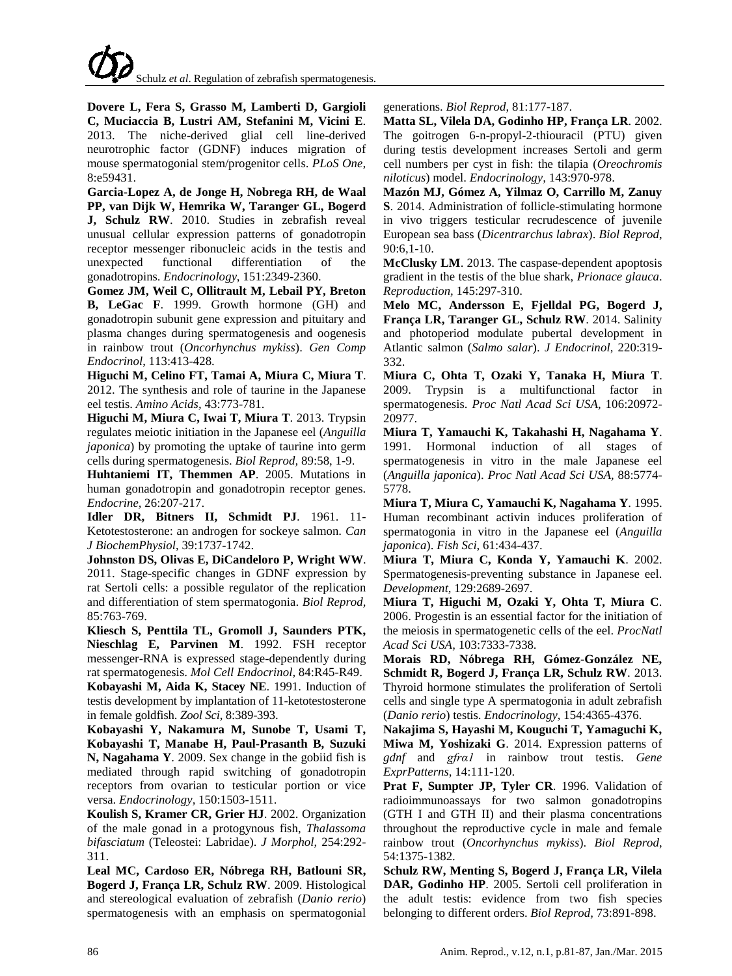**Dovere L, Fera S, Grasso M, Lamberti D, Gargioli C, Muciaccia B, Lustri AM, Stefanini M, Vicini E**. 2013. The niche-derived glial cell line-derived neurotrophic factor (GDNF) induces migration of mouse spermatogonial stem/progenitor cells. *PLoS One,* 8:e59431.

**Garcia-Lopez A, de Jonge H, Nobrega RH, de Waal PP, van Dijk W, Hemrika W, Taranger GL, Bogerd J, Schulz RW**. 2010. Studies in zebrafish reveal unusual cellular expression patterns of gonadotropin receptor messenger ribonucleic acids in the testis and unexpected functional differentiation of the gonadotropins. *Endocrinology*, 151:2349-2360.

**Gomez JM, Weil C, Ollitrault M, Lebail PY, Breton B, LeGac F**. 1999. Growth hormone (GH) and gonadotropin subunit gene expression and pituitary and plasma changes during spermatogenesis and oogenesis in rainbow trout (*Oncorhynchus mykiss*). *Gen Comp Endocrinol*, 113:413-428.

**Higuchi M, Celino FT, Tamai A, Miura C, Miura T**. 2012. The synthesis and role of taurine in the Japanese eel testis. *Amino Acids,* 43:773-781.

**Higuchi M, Miura C, Iwai T, Miura T**. 2013. Trypsin regulates meiotic initiation in the Japanese eel (*Anguilla japonica*) by promoting the uptake of taurine into germ cells during spermatogenesis. *Biol Reprod,* 89:58, 1-9.

**Huhtaniemi IT, Themmen AP**. 2005. Mutations in human gonadotropin and gonadotropin receptor genes. *Endocrine,* 26:207-217.

**Idler DR, Bitners II, Schmidt PJ**. 1961. 11- Ketotestosterone: an androgen for sockeye salmon. *Can J BiochemPhysiol*, 39:1737-1742.

**Johnston DS, Olivas E, DiCandeloro P, Wright WW**. 2011. Stage-specific changes in GDNF expression by rat Sertoli cells: a possible regulator of the replication and differentiation of stem spermatogonia. *Biol Reprod,* 85:763-769.

**Kliesch S, Penttila TL, Gromoll J, Saunders PTK, Nieschlag E, Parvinen M**. 1992. FSH receptor messenger-RNA is expressed stage-dependently during rat spermatogenesis. *Mol Cell Endocrinol,* 84:R45-R49. **Kobayashi M, Aida K, Stacey NE**. 1991. Induction of

testis development by implantation of 11-ketotestosterone in female goldfish. *Zool Sci*, 8:389-393.

**Kobayashi Y, Nakamura M, Sunobe T, Usami T, Kobayashi T, Manabe H, Paul-Prasanth B, Suzuki N, Nagahama Y**. 2009. Sex change in the gobiid fish is mediated through rapid switching of gonadotropin receptors from ovarian to testicular portion or vice versa. *Endocrinology,* 150:1503-1511.

**Koulish S, Kramer CR, Grier HJ**. 2002. Organization of the male gonad in a protogynous fish, *Thalassoma bifasciatum* (Teleostei: Labridae). *J Morphol*, 254:292- 311.

**Leal MC, Cardoso ER, Nóbrega RH, Batlouni SR, Bogerd J, França LR, Schulz RW**. 2009. Histological and stereological evaluation of zebrafish (*Danio rerio*) spermatogenesis with an emphasis on spermatogonial generations. *Biol Reprod*, 81:177-187.

**Matta SL, Vilela DA, Godinho HP, França LR**. 2002. The goitrogen 6-n-propyl-2-thiouracil (PTU) given during testis development increases Sertoli and germ cell numbers per cyst in fish: the tilapia (*Oreochromis niloticus*) model. *Endocrinology,* 143:970-978.

**Mazón MJ, Gómez A, Yilmaz O, Carrillo M, Zanuy S**. 2014. Administration of follicle-stimulating hormone in vivo triggers testicular recrudescence of juvenile European sea bass (*Dicentrarchus labrax*). *Biol Reprod*, 90:6,1-10.

**McClusky LM**. 2013. The caspase-dependent apoptosis gradient in the testis of the blue shark, *Prionace glauca*. *Reproduction,* 145:297-310.

**Melo MC, Andersson E, Fjelldal PG, Bogerd J, França LR, Taranger GL, Schulz RW**. 2014. Salinity and photoperiod modulate pubertal development in Atlantic salmon (*Salmo salar*). *J Endocrinol,* 220:319- 332.

**Miura C, Ohta T, Ozaki Y, Tanaka H, Miura T**. 2009. Trypsin is a multifunctional factor in spermatogenesis. *Proc Natl Acad Sci USA*, 106:20972- 20977.

**Miura T, Yamauchi K, Takahashi H, Nagahama Y**. 1991. Hormonal induction of all stages of spermatogenesis in vitro in the male Japanese eel (*Anguilla japonica*). *Proc Natl Acad Sci USA,* 88:5774- 5778.

**Miura T, Miura C, Yamauchi K, Nagahama Y**. 1995. Human recombinant activin induces proliferation of spermatogonia in vitro in the Japanese eel (*Anguilla japonica*). *Fish Sci*, 61:434-437.

**Miura T, Miura C, Konda Y, Yamauchi K**. 2002. Spermatogenesis-preventing substance in Japanese eel. *Development*, 129:2689-2697.

**Miura T, Higuchi M, Ozaki Y, Ohta T, Miura C**. 2006. Progestin is an essential factor for the initiation of the meiosis in spermatogenetic cells of the eel. *ProcNatl Acad Sci USA,* 103:7333-7338.

**Morais RD, Nóbrega RH, Gómez-González NE, Schmidt R, Bogerd J, França LR, Schulz RW**. 2013. Thyroid hormone stimulates the proliferation of Sertoli cells and single type A spermatogonia in adult zebrafish (*Danio rerio*) testis. *Endocrinology,* 154:4365-4376.

**Nakajima S, Hayashi M, Kouguchi T, Yamaguchi K, Miwa M, Yoshizaki G**. 2014. Expression patterns of *gdnf* and *gfrα1* in rainbow trout testis. *Gene ExprPatterns*, 14:111-120.

**Prat F, Sumpter JP, Tyler CR**. 1996. Validation of radioimmunoassays for two salmon gonadotropins (GTH I and GTH II) and their plasma concentrations throughout the reproductive cycle in male and female rainbow trout (*Oncorhynchus mykiss*). *Biol Reprod*, 54:1375-1382.

**Schulz RW, Menting S, Bogerd J, França LR, Vilela DAR, Godinho HP**. 2005. Sertoli cell proliferation in the adult testis: evidence from two fish species belonging to different orders. *Biol Reprod,* 73:891-898.